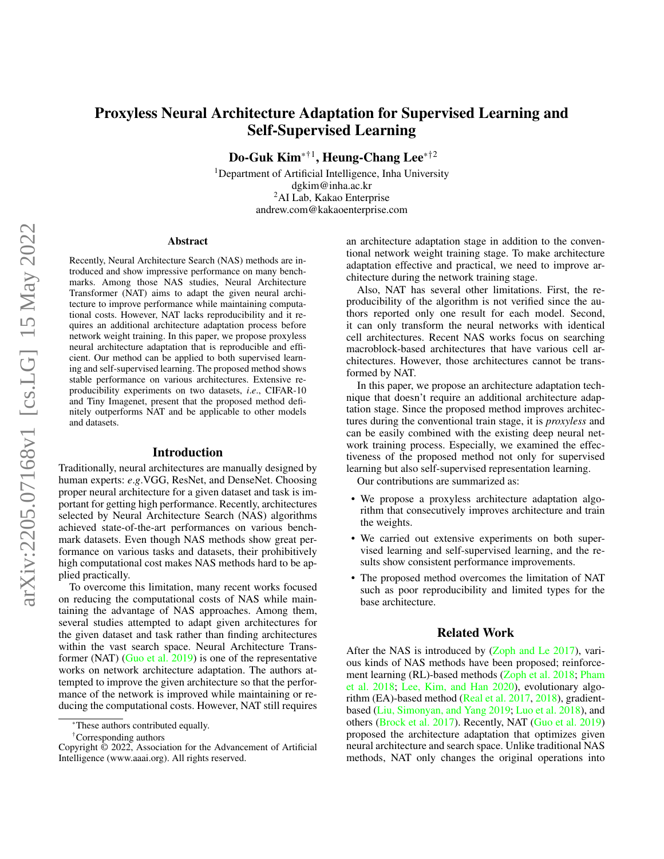# <span id="page-0-0"></span>Proxyless Neural Architecture Adaptation for Supervised Learning and Self-Supervised Learning

Do-Guk Kim\*†1, Heung-Chang Lee\*†<sup>2</sup>

<sup>1</sup>Department of Artificial Intelligence, Inha University dgkim@inha.ac.kr <sup>2</sup>AI Lab, Kakao Enterprise andrew.com@kakaoenterprise.com

#### Abstract

Recently, Neural Architecture Search (NAS) methods are introduced and show impressive performance on many benchmarks. Among those NAS studies, Neural Architecture Transformer (NAT) aims to adapt the given neural architecture to improve performance while maintaining computational costs. However, NAT lacks reproducibility and it requires an additional architecture adaptation process before network weight training. In this paper, we propose proxyless neural architecture adaptation that is reproducible and efficient. Our method can be applied to both supervised learning and self-supervised learning. The proposed method shows stable performance on various architectures. Extensive reproducibility experiments on two datasets, *i*.*e*., CIFAR-10 and Tiny Imagenet, present that the proposed method definitely outperforms NAT and be applicable to other models and datasets.

### Introduction

Traditionally, neural architectures are manually designed by human experts: *e*.*g*.VGG, ResNet, and DenseNet. Choosing proper neural architecture for a given dataset and task is important for getting high performance. Recently, architectures selected by Neural Architecture Search (NAS) algorithms achieved state-of-the-art performances on various benchmark datasets. Even though NAS methods show great performance on various tasks and datasets, their prohibitively high computational cost makes NAS methods hard to be applied practically.

To overcome this limitation, many recent works focused on reducing the computational costs of NAS while maintaining the advantage of NAS approaches. Among them, several studies attempted to adapt given architectures for the given dataset and task rather than finding architectures within the vast search space. Neural Architecture Transformer (NAT) [\(Guo et al.](#page-4-0) [2019\)](#page-4-0) is one of the representative works on network architecture adaptation. The authors attempted to improve the given architecture so that the performance of the network is improved while maintaining or reducing the computational costs. However, NAT still requires

†Corresponding authors

an architecture adaptation stage in addition to the conventional network weight training stage. To make architecture adaptation effective and practical, we need to improve architecture during the network training stage.

Also, NAT has several other limitations. First, the reproducibility of the algorithm is not verified since the authors reported only one result for each model. Second, it can only transform the neural networks with identical cell architectures. Recent NAS works focus on searching macroblock-based architectures that have various cell architectures. However, those architectures cannot be transformed by NAT.

In this paper, we propose an architecture adaptation technique that doesn't require an additional architecture adaptation stage. Since the proposed method improves architectures during the conventional train stage, it is *proxyless* and can be easily combined with the existing deep neural network training process. Especially, we examined the effectiveness of the proposed method not only for supervised learning but also self-supervised representation learning.

Our contributions are summarized as:

- We propose a proxyless architecture adaptation algorithm that consecutively improves architecture and train the weights.
- We carried out extensive experiments on both supervised learning and self-supervised learning, and the results show consistent performance improvements.
- The proposed method overcomes the limitation of NAT such as poor reproducibility and limited types for the base architecture.

## Related Work

After the NAS is introduced by [\(Zoph and Le](#page-4-1) [2017\)](#page-4-1), various kinds of NAS methods have been proposed; reinforcement learning (RL)-based methods [\(Zoph et al.](#page-4-2) [2018;](#page-4-2) [Pham](#page-4-3) [et al.](#page-4-3) [2018;](#page-4-3) [Lee, Kim, and Han](#page-4-4) [2020\)](#page-4-4), evolutionary algorithm (EA)-based method [\(Real et al.](#page-4-5) [2017,](#page-4-5) [2018\)](#page-4-6), gradientbased [\(Liu, Simonyan, and Yang](#page-4-7) [2019;](#page-4-7) [Luo et al.](#page-4-8) [2018\)](#page-4-8), and others [\(Brock et al.](#page-4-9) [2017\)](#page-4-9). Recently, NAT [\(Guo et al.](#page-4-0) [2019\)](#page-4-0) proposed the architecture adaptation that optimizes given neural architecture and search space. Unlike traditional NAS methods, NAT only changes the original operations into

<sup>\*</sup>These authors contributed equally.

Copyright © 2022, Association for the Advancement of Artificial Intelligence (www.aaai.org). All rights reserved.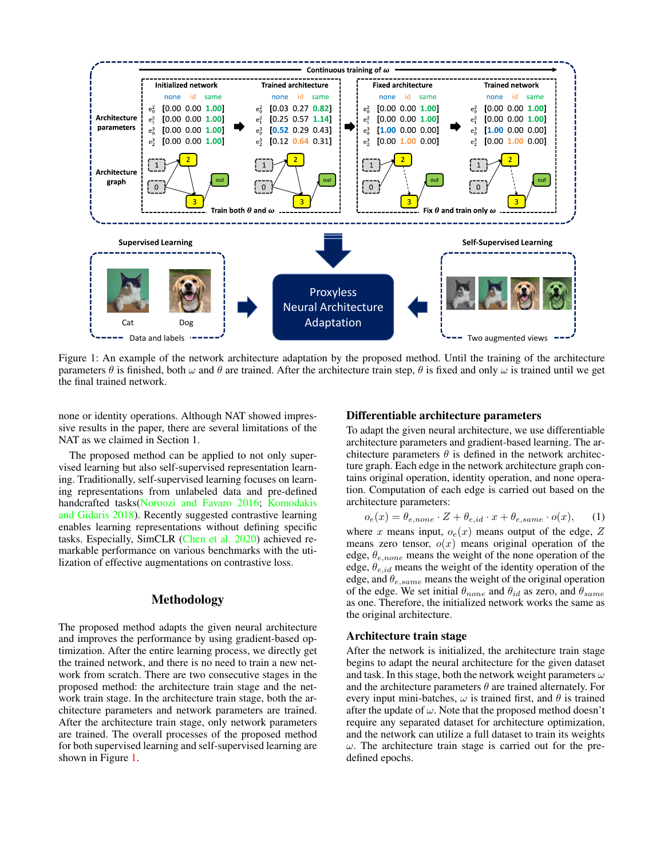<span id="page-1-1"></span><span id="page-1-0"></span>

Figure 1: An example of the network architecture adaptation by the proposed method. Until the training of the architecture parameters  $\theta$  is finished, both  $\omega$  and  $\theta$  are trained. After the architecture train step,  $\theta$  is fixed and only  $\omega$  is trained until we get the final trained network.

none or identity operations. Although NAT showed impressive results in the paper, there are several limitations of the NAT as we claimed in Section 1.

The proposed method can be applied to not only supervised learning but also self-supervised representation learning. Traditionally, self-supervised learning focuses on learning representations from unlabeled data and pre-defined handcrafted tasks[\(Noroozi and Favaro](#page-4-10) [2016;](#page-4-10) [Komodakis](#page-4-11) [and Gidaris](#page-4-11) [2018\)](#page-4-11). Recently suggested contrastive learning enables learning representations without defining specific tasks. Especially, SimCLR [\(Chen et al.](#page-4-12) [2020\)](#page-4-12) achieved remarkable performance on various benchmarks with the utilization of effective augmentations on contrastive loss.

## Methodology

The proposed method adapts the given neural architecture and improves the performance by using gradient-based optimization. After the entire learning process, we directly get the trained network, and there is no need to train a new network from scratch. There are two consecutive stages in the proposed method: the architecture train stage and the network train stage. In the architecture train stage, both the architecture parameters and network parameters are trained. After the architecture train stage, only network parameters are trained. The overall processes of the proposed method for both supervised learning and self-supervised learning are shown in Figure [1.](#page-1-0)

#### Differentiable architecture parameters

To adapt the given neural architecture, we use differentiable architecture parameters and gradient-based learning. The architecture parameters  $\theta$  is defined in the network architecture graph. Each edge in the network architecture graph contains original operation, identity operation, and none operation. Computation of each edge is carried out based on the architecture parameters:

$$
o_e(x) = \theta_{e, none} \cdot Z + \theta_{e,id} \cdot x + \theta_{e, same} \cdot o(x), \quad (1)
$$

where x means input,  $o_e(x)$  means output of the edge, Z means zero tensor,  $o(x)$  means original operation of the edge,  $\theta_{e,none}$  means the weight of the none operation of the edge,  $\theta_{e, id}$  means the weight of the identity operation of the edge, and  $\theta_{e, same}$  means the weight of the original operation of the edge. We set initial  $\theta_{none}$  and  $\theta_{id}$  as zero, and  $\theta_{same}$ as one. Therefore, the initialized network works the same as the original architecture.

#### Architecture train stage

After the network is initialized, the architecture train stage begins to adapt the neural architecture for the given dataset and task. In this stage, both the network weight parameters  $\omega$ and the architecture parameters  $\theta$  are trained alternately. For every input mini-batches,  $\omega$  is trained first, and  $\theta$  is trained after the update of  $\omega$ . Note that the proposed method doesn't require any separated dataset for architecture optimization, and the network can utilize a full dataset to train its weights  $\omega$ . The architecture train stage is carried out for the predefined epochs.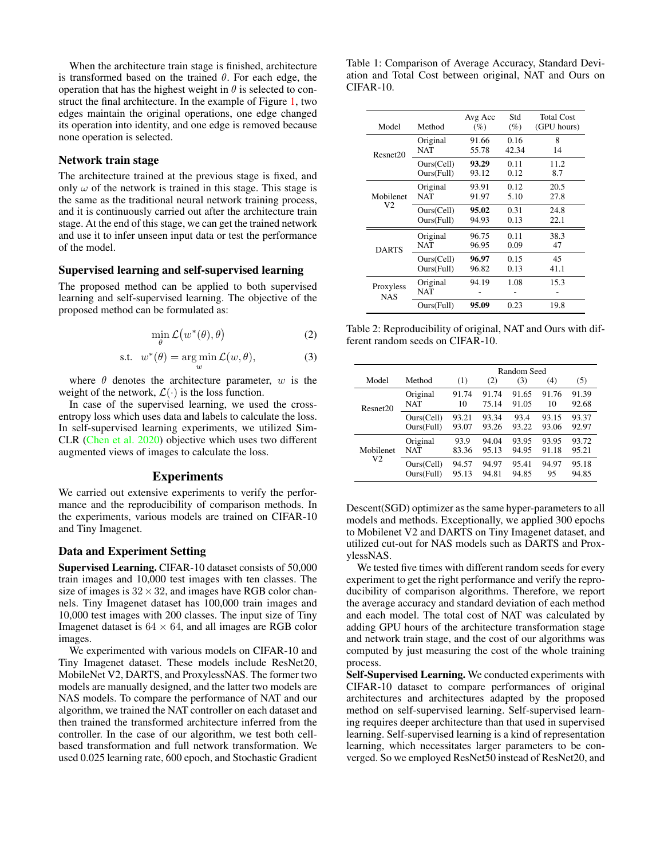<span id="page-2-2"></span>When the architecture train stage is finished, architecture is transformed based on the trained  $\theta$ . For each edge, the operation that has the highest weight in  $\theta$  is selected to construct the final architecture. In the example of Figure [1,](#page-1-0) two edges maintain the original operations, one edge changed its operation into identity, and one edge is removed because none operation is selected.

# Network train stage

The architecture trained at the previous stage is fixed, and only  $\omega$  of the network is trained in this stage. This stage is the same as the traditional neural network training process, and it is continuously carried out after the architecture train stage. At the end of this stage, we can get the trained network and use it to infer unseen input data or test the performance of the model.

## Supervised learning and self-supervised learning

The proposed method can be applied to both supervised learning and self-supervised learning. The objective of the proposed method can be formulated as:

$$
\min_{\theta} \mathcal{L}\big(w^*(\theta), \theta\big) \tag{2}
$$

$$
\text{s.t. } w^*(\theta) = \underset{w}{\text{arg min}} \mathcal{L}(w, \theta), \tag{3}
$$

where  $\theta$  denotes the architecture parameter, w is the weight of the network,  $\mathcal{L}(\cdot)$  is the loss function.

In case of the supervised learning, we used the crossentropy loss which uses data and labels to calculate the loss. In self-supervised learning experiments, we utilized Sim-CLR [\(Chen et al.](#page-4-12) [2020\)](#page-4-12) objective which uses two different augmented views of images to calculate the loss.

## Experiments

We carried out extensive experiments to verify the performance and the reproducibility of comparison methods. In the experiments, various models are trained on CIFAR-10 and Tiny Imagenet.

#### Data and Experiment Setting

Supervised Learning. CIFAR-10 dataset consists of 50,000 train images and 10,000 test images with ten classes. The size of images is  $32 \times 32$ , and images have RGB color channels. Tiny Imagenet dataset has 100,000 train images and 10,000 test images with 200 classes. The input size of Tiny Imagenet dataset is  $64 \times 64$ , and all images are RGB color images.

We experimented with various models on CIFAR-10 and Tiny Imagenet dataset. These models include ResNet20, MobileNet V2, DARTS, and ProxylessNAS. The former two models are manually designed, and the latter two models are NAS models. To compare the performance of NAT and our algorithm, we trained the NAT controller on each dataset and then trained the transformed architecture inferred from the controller. In the case of our algorithm, we test both cellbased transformation and full network transformation. We used 0.025 learning rate, 600 epoch, and Stochastic Gradient

<span id="page-2-0"></span>Table 1: Comparison of Average Accuracy, Standard Deviation and Total Cost between original, NAT and Ours on CIFAR-10.

| Model                   | Method                   | Avg Acc<br>(%) | Std<br>(%)                                                                           | <b>Total Cost</b><br>(GPU hours) |
|-------------------------|--------------------------|----------------|--------------------------------------------------------------------------------------|----------------------------------|
| Resnet20                | Original<br><b>NAT</b>   | 91.66<br>55.78 | 0.16<br>42.34                                                                        | 8<br>14                          |
|                         | Ours(Cell)<br>Ours(Full) | 93.29<br>93.12 | 0.11<br>0.12<br>0.12<br>5.10<br>0.31<br>0.13<br>0.11<br>0.09<br>0.15<br>0.13<br>1.08 | 11.2<br>8.7                      |
| Mobilenet               | Original<br>NAT          | 93.91<br>91.97 |                                                                                      | 20.5<br>27.8                     |
| V2                      | Ours(Cell)<br>Ours(Full) | 95.02<br>94.93 |                                                                                      | 24.8<br>22.1                     |
| <b>DARTS</b>            | Original<br>NAT          | 96.75<br>96.95 |                                                                                      | 38.3<br>47                       |
|                         | Ours(Cell)<br>Ours(Full) | 96.97<br>96.82 |                                                                                      | 45<br>41.1                       |
| Proxyless<br><b>NAS</b> | Original<br>NAT          | 94.19          |                                                                                      | 15.3                             |
|                         | Ours(Full)               | 95.09          | 0.23                                                                                 | 19.8                             |

<span id="page-2-1"></span>Table 2: Reproducibility of original, NAT and Ours with different random seeds on CIFAR-10.

|                             |                          | Random Seed    |                |                |                |                |
|-----------------------------|--------------------------|----------------|----------------|----------------|----------------|----------------|
| Model                       | Method                   | (1)            | (2)            | (3)            | (4)            | (5)            |
| Resnet20                    | Original<br><b>NAT</b>   | 91.74<br>10    | 91.74<br>75.14 | 91.65<br>91.05 | 91.76<br>10    | 91.39<br>92.68 |
|                             | Ours(Cell)<br>Ours(Full) | 93.21<br>93.07 | 93.34<br>93.26 | 93.4<br>93.22  | 93.15<br>93.06 | 93.37<br>92.97 |
| Mobilenet<br>V <sub>2</sub> | Original<br>NAT          | 93.9<br>83.36  | 94.04<br>95.13 | 93.95<br>94.95 | 93.95<br>91.18 | 93.72<br>95.21 |
|                             | Ours(Cell)<br>Ours(Full) | 94.57<br>95.13 | 94.97<br>94.81 | 95.41<br>94.85 | 94.97<br>95    | 95.18<br>94.85 |

Descent(SGD) optimizer as the same hyper-parameters to all models and methods. Exceptionally, we applied 300 epochs to Mobilenet V2 and DARTS on Tiny Imagenet dataset, and utilized cut-out for NAS models such as DARTS and ProxylessNAS.

We tested five times with different random seeds for every experiment to get the right performance and verify the reproducibility of comparison algorithms. Therefore, we report the average accuracy and standard deviation of each method and each model. The total cost of NAT was calculated by adding GPU hours of the architecture transformation stage and network train stage, and the cost of our algorithms was computed by just measuring the cost of the whole training process.

Self-Supervised Learning. We conducted experiments with CIFAR-10 dataset to compare performances of original architectures and architectures adapted by the proposed method on self-supervised learning. Self-supervised learning requires deeper architecture than that used in supervised learning. Self-supervised learning is a kind of representation learning, which necessitates larger parameters to be converged. So we employed ResNet50 instead of ResNet20, and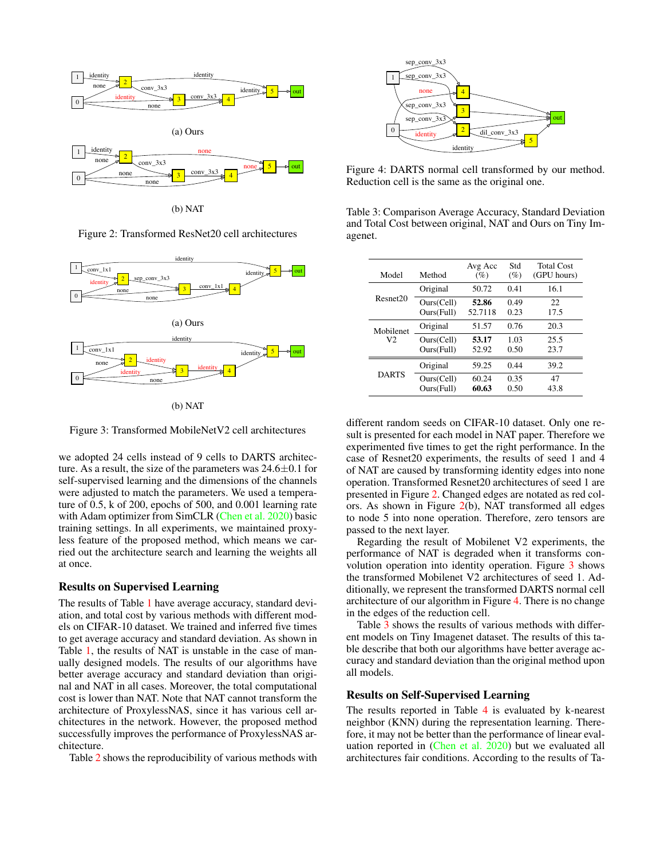<span id="page-3-4"></span><span id="page-3-0"></span>

(b) NAT

Figure 2: Transformed ResNet20 cell architectures

<span id="page-3-1"></span>

Figure 3: Transformed MobileNetV2 cell architectures

we adopted 24 cells instead of 9 cells to DARTS architecture. As a result, the size of the parameters was  $24.6\pm0.1$  for self-supervised learning and the dimensions of the channels were adjusted to match the parameters. We used a temperature of 0.5, k of 200, epochs of 500, and 0.001 learning rate with Adam optimizer from SimCLR [\(Chen et al.](#page-4-12) [2020\)](#page-4-12) basic training settings. In all experiments, we maintained proxyless feature of the proposed method, which means we carried out the architecture search and learning the weights all at once.

### Results on Supervised Learning

The results of Table [1](#page-2-0) have average accuracy, standard deviation, and total cost by various methods with different models on CIFAR-10 dataset. We trained and inferred five times to get average accuracy and standard deviation. As shown in Table [1,](#page-2-0) the results of NAT is unstable in the case of manually designed models. The results of our algorithms have better average accuracy and standard deviation than original and NAT in all cases. Moreover, the total computational cost is lower than NAT. Note that NAT cannot transform the architecture of ProxylessNAS, since it has various cell architectures in the network. However, the proposed method successfully improves the performance of ProxylessNAS architecture.

Table [2](#page-2-1) shows the reproducibility of various methods with

<span id="page-3-2"></span>

Figure 4: DARTS normal cell transformed by our method. Reduction cell is the same as the original one.

<span id="page-3-3"></span>Table 3: Comparison Average Accuracy, Standard Deviation and Total Cost between original, NAT and Ours on Tiny Imagenet.

| Model          | Method                   | Avg Acc<br>(%)   | Std<br>$(\%)$ | <b>Total Cost</b><br>(GPU hours) |
|----------------|--------------------------|------------------|---------------|----------------------------------|
|                | Original                 | 50.72            | 0.41          | 16.1                             |
| Resnet20       | Ours(Cell)<br>Ours(Full) | 52.86<br>52.7118 | 0.49<br>0.23  | 22<br>17.5                       |
| Mobilenet      | Original                 | 51.57            | 0.76          | 20.3                             |
| V <sub>2</sub> | Ours(Cell)<br>Ours(Full) | 53.17<br>52.92   | 1.03<br>0.50  | 25.5<br>23.7                     |
|                | Original                 | 59.25            | 0.44          | 39.2                             |
| <b>DARTS</b>   | Ours(Cell)<br>Ours(Full) | 60.24<br>60.63   | 0.35<br>0.50  | 47<br>43.8                       |
|                |                          |                  |               |                                  |

different random seeds on CIFAR-10 dataset. Only one result is presented for each model in NAT paper. Therefore we experimented five times to get the right performance. In the case of Resnet20 experiments, the results of seed 1 and 4 of NAT are caused by transforming identity edges into none operation. Transformed Resnet20 architectures of seed 1 are presented in Figure [2.](#page-3-0) Changed edges are notated as red colors. As shown in Figure [2\(](#page-3-0)b), NAT transformed all edges to node 5 into none operation. Therefore, zero tensors are passed to the next layer.

Regarding the result of Mobilenet V2 experiments, the performance of NAT is degraded when it transforms convolution operation into identity operation. Figure [3](#page-3-1) shows the transformed Mobilenet V2 architectures of seed 1. Additionally, we represent the transformed DARTS normal cell architecture of our algorithm in Figure [4.](#page-3-2) There is no change in the edges of the reduction cell.

Table  $\overline{3}$  $\overline{3}$  $\overline{3}$  shows the results of various methods with different models on Tiny Imagenet dataset. The results of this table describe that both our algorithms have better average accuracy and standard deviation than the original method upon all models.

### Results on Self-Supervised Learning

The results reported in Table [4](#page-4-13) is evaluated by k-nearest neighbor (KNN) during the representation learning. Therefore, it may not be better than the performance of linear evaluation reported in [\(Chen et al.](#page-4-12) [2020\)](#page-4-12) but we evaluated all architectures fair conditions. According to the results of Ta